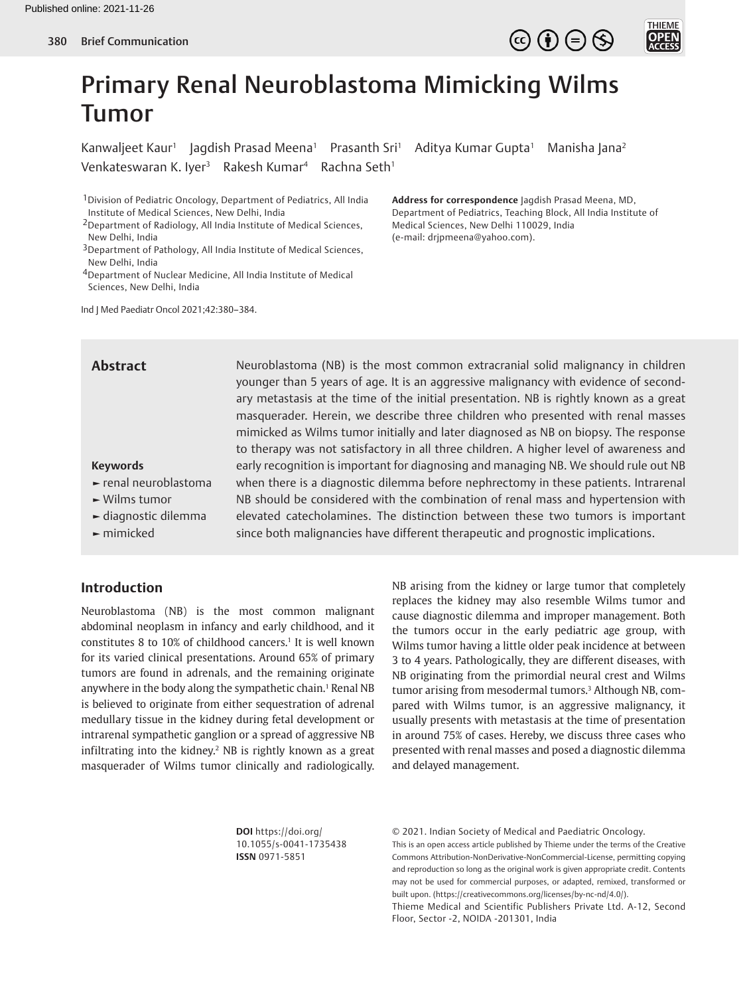



# Primary Renal Neuroblastoma Mimicking Wilms Tumor

Kanwaljeet Kaur<sup>1</sup> Jagdish Prasad Meena<sup>1</sup> Prasanth Sri<sup>1</sup> Aditya Kumar Gupta<sup>1</sup> Manisha Jana<sup>2</sup> Venkateswaran K. Iyer<sup>3</sup> Rakesh Kumar<sup>4</sup> Rachna Seth<sup>1</sup>

1Division of Pediatric Oncology, Department of Pediatrics, All India Institute of Medical Sciences, New Delhi, India

- 2Department of Radiology, All India Institute of Medical Sciences, New Delhi, India
- 3Department of Pathology, All India Institute of Medical Sciences, New Delhi, India
- 4Department of Nuclear Medicine, All India Institute of Medical Sciences, New Delhi, India

Ind J Med Paediatr Oncol 2021;42:380–384.

**Address for correspondence** Jagdish Prasad Meena, MD, Department of Pediatrics, Teaching Block, All India Institute of Medical Sciences, New Delhi 110029, India (e-mail: drjpmeena@yahoo.com).

Neuroblastoma (NB) is the most common extracranial solid malignancy in children younger than 5 years of age. It is an aggressive malignancy with evidence of secondary metastasis at the time of the initial presentation. NB is rightly known as a great masquerader. Herein, we describe three children who presented with renal masses mimicked as Wilms tumor initially and later diagnosed as NB on biopsy. The response to therapy was not satisfactory in all three children. A higher level of awareness and early recognition is important for diagnosing and managing NB. We should rule out NB when there is a diagnostic dilemma before nephrectomy in these patients. Intrarenal NB should be considered with the combination of renal mass and hypertension with elevated catecholamines. The distinction between these two tumors is important since both malignancies have different therapeutic and prognostic implications. **Abstract Keywords ►** renal neuroblastoma **►** Wilms tumor **►** diagnostic dilemma **►** mimicked

# **Introduction**

Neuroblastoma (NB) is the most common malignant abdominal neoplasm in infancy and early childhood, and it constitutes 8 to 10% of childhood cancers.1 It is well known for its varied clinical presentations. Around 65% of primary tumors are found in adrenals, and the remaining originate anywhere in the body along the sympathetic chain.<sup>1</sup> Renal NB is believed to originate from either sequestration of adrenal medullary tissue in the kidney during fetal development or intrarenal sympathetic ganglion or a spread of aggressive NB infiltrating into the kidney.<sup>2</sup> NB is rightly known as a great masquerader of Wilms tumor clinically and radiologically.

NB arising from the kidney or large tumor that completely replaces the kidney may also resemble Wilms tumor and cause diagnostic dilemma and improper management. Both the tumors occur in the early pediatric age group, with Wilms tumor having a little older peak incidence at between 3 to 4 years. Pathologically, they are different diseases, with NB originating from the primordial neural crest and Wilms tumor arising from mesodermal tumors.<sup>3</sup> Although NB, compared with Wilms tumor, is an aggressive malignancy, it usually presents with metastasis at the time of presentation in around 75% of cases. Hereby, we discuss three cases who presented with renal masses and posed a diagnostic dilemma and delayed management.

**DOI** https://doi.org/ 10.1055/s-0041-1735438 **ISSN** 0971-5851

© 2021. Indian Society of Medical and Paediatric Oncology. This is an open access article published by Thieme under the terms of the Creative Commons Attribution-NonDerivative-NonCommercial-License, permitting copying and reproduction so long as the original work is given appropriate credit. Contents may not be used for commercial purposes, or adapted, remixed, transformed or built upon. (https://creativecommons.org/licenses/by-nc-nd/4.0/).

Thieme Medical and Scientific Publishers Private Ltd. A-12, Second Floor, Sector -2, NOIDA -201301, India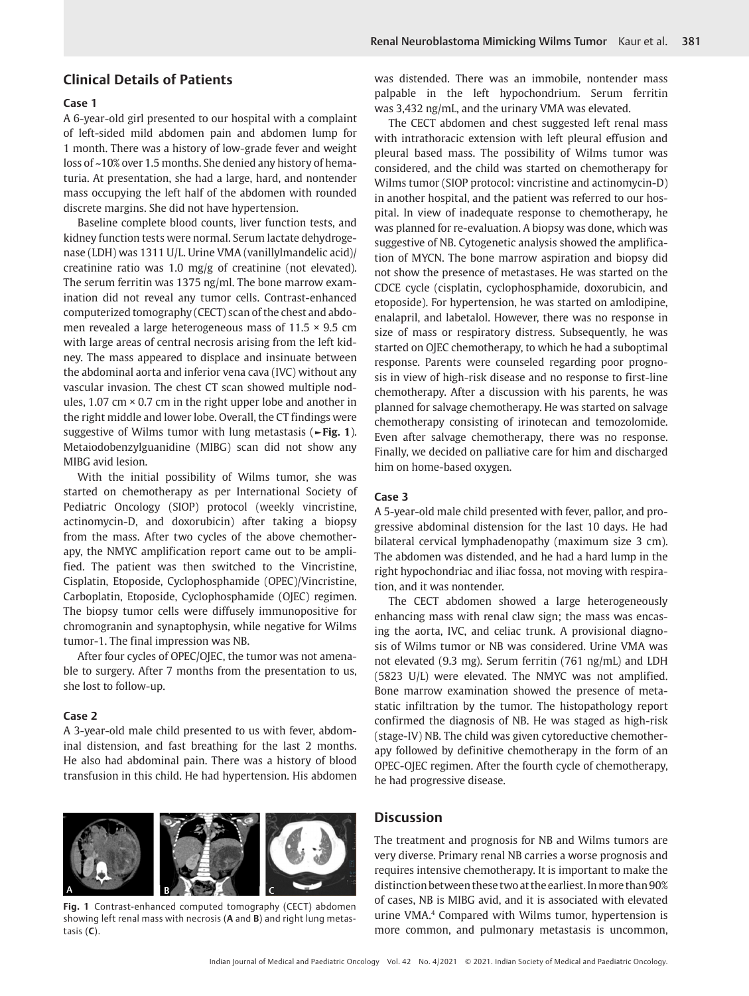## **Clinical Details of Patients**

# **Case 1**

A 6-year-old girl presented to our hospital with a complaint of left-sided mild abdomen pain and abdomen lump for 1 month. There was a history of low-grade fever and weight loss of ~10% over 1.5 months. She denied any history of hematuria. At presentation, she had a large, hard, and nontender mass occupying the left half of the abdomen with rounded discrete margins. She did not have hypertension.

Baseline complete blood counts, liver function tests, and kidney function tests were normal. Serum lactate dehydrogenase (LDH) was 1311 U/L. Urine VMA (vanillylmandelic acid)/ creatinine ratio was 1.0 mg/g of creatinine (not elevated). The serum ferritin was 1375 ng/ml. The bone marrow examination did not reveal any tumor cells. Contrast-enhanced computerized tomography (CECT) scan of the chest and abdomen revealed a large heterogeneous mass of 11.5 × 9.5 cm with large areas of central necrosis arising from the left kidney. The mass appeared to displace and insinuate between the abdominal aorta and inferior vena cava (IVC) without any vascular invasion. The chest CT scan showed multiple nodules, 1.07 cm  $\times$  0.7 cm in the right upper lobe and another in the right middle and lower lobe. Overall, the CT findings were suggestive of Wilms tumor with lung metastasis (**►Fig. 1**). Metaiodobenzylguanidine (MIBG) scan did not show any MIBG avid lesion.

With the initial possibility of Wilms tumor, she was started on chemotherapy as per International Society of Pediatric Oncology (SIOP) protocol (weekly vincristine, actinomycin-D, and doxorubicin) after taking a biopsy from the mass. After two cycles of the above chemotherapy, the NMYC amplification report came out to be amplified. The patient was then switched to the Vincristine, Cisplatin, Etoposide, Cyclophosphamide (OPEC)/Vincristine, Carboplatin, Etoposide, Cyclophosphamide (OJEC) regimen. The biopsy tumor cells were diffusely immunopositive for chromogranin and synaptophysin, while negative for Wilms tumor-1. The final impression was NB.

After four cycles of OPEC/OJEC, the tumor was not amenable to surgery. After 7 months from the presentation to us, she lost to follow-up.

#### **Case 2**

A 3-year-old male child presented to us with fever, abdominal distension, and fast breathing for the last 2 months. He also had abdominal pain. There was a history of blood transfusion in this child. He had hypertension. His abdomen



**Fig. 1** Contrast-enhanced computed tomography (CECT) abdomen showing left renal mass with necrosis (**A** and **B**) and right lung metastasis (**C**).

was distended. There was an immobile, nontender mass palpable in the left hypochondrium. Serum ferritin was 3,432 ng/mL, and the urinary VMA was elevated.

The CECT abdomen and chest suggested left renal mass with intrathoracic extension with left pleural effusion and pleural based mass. The possibility of Wilms tumor was considered, and the child was started on chemotherapy for Wilms tumor (SIOP protocol: vincristine and actinomycin-D) in another hospital, and the patient was referred to our hospital. In view of inadequate response to chemotherapy, he was planned for re-evaluation. A biopsy was done, which was suggestive of NB. Cytogenetic analysis showed the amplification of MYCN. The bone marrow aspiration and biopsy did not show the presence of metastases. He was started on the CDCE cycle (cisplatin, cyclophosphamide, doxorubicin, and etoposide). For hypertension, he was started on amlodipine, enalapril, and labetalol. However, there was no response in size of mass or respiratory distress. Subsequently, he was started on OJEC chemotherapy, to which he had a suboptimal response. Parents were counseled regarding poor prognosis in view of high-risk disease and no response to first-line chemotherapy. After a discussion with his parents, he was planned for salvage chemotherapy. He was started on salvage chemotherapy consisting of irinotecan and temozolomide. Even after salvage chemotherapy, there was no response. Finally, we decided on palliative care for him and discharged him on home-based oxygen.

### **Case 3**

A 5-year-old male child presented with fever, pallor, and progressive abdominal distension for the last 10 days. He had bilateral cervical lymphadenopathy (maximum size 3 cm). The abdomen was distended, and he had a hard lump in the right hypochondriac and iliac fossa, not moving with respiration, and it was nontender.

The CECT abdomen showed a large heterogeneously enhancing mass with renal claw sign; the mass was encasing the aorta, IVC, and celiac trunk. A provisional diagnosis of Wilms tumor or NB was considered. Urine VMA was not elevated (9.3 mg). Serum ferritin (761 ng/mL) and LDH (5823 U/L) were elevated. The NMYC was not amplified. Bone marrow examination showed the presence of metastatic infiltration by the tumor. The histopathology report confirmed the diagnosis of NB. He was staged as high-risk (stage-IV) NB. The child was given cytoreductive chemotherapy followed by definitive chemotherapy in the form of an OPEC-OJEC regimen. After the fourth cycle of chemotherapy, he had progressive disease.

# **Discussion**

The treatment and prognosis for NB and Wilms tumors are very diverse. Primary renal NB carries a worse prognosis and requires intensive chemotherapy. It is important to make the distinction between these two at the earliest. In more than 90% of cases, NB is MIBG avid, and it is associated with elevated urine VMA.4 Compared with Wilms tumor, hypertension is more common, and pulmonary metastasis is uncommon,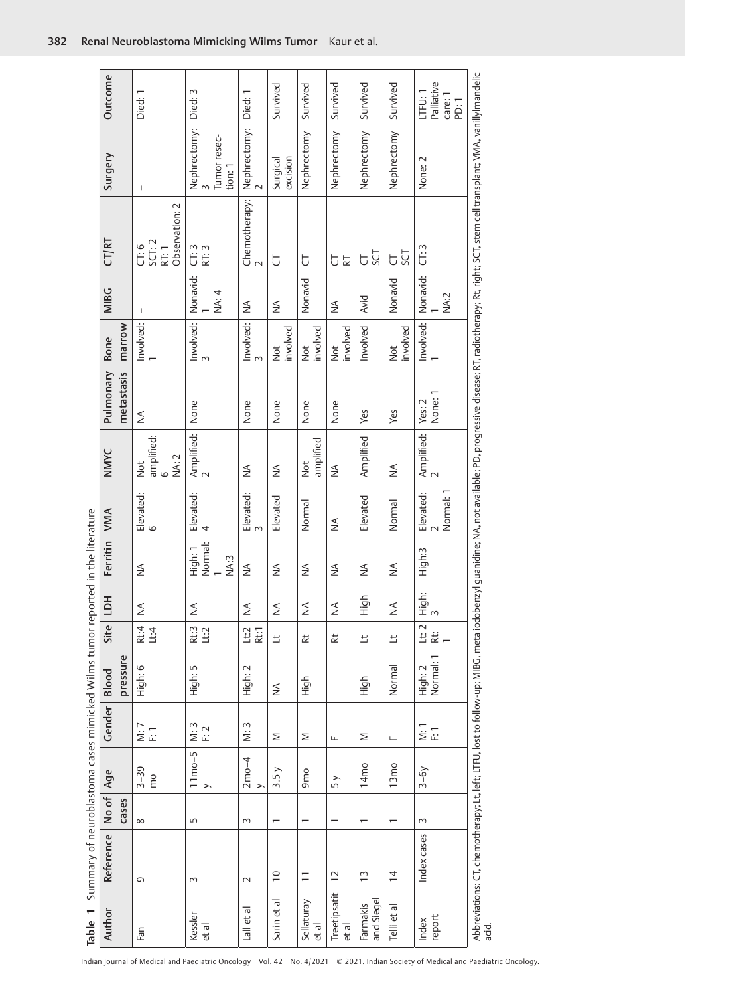|                                                                                | Outcome        |            | Died:1                                        | Died: 3                                      | Died: 1                                                          | Survived                 | Survived               | Survived              | Survived               | Survived                | Palliative<br>LTFU: 1<br>care: 1<br>PD:1                         |                                                                                                                                                 |
|--------------------------------------------------------------------------------|----------------|------------|-----------------------------------------------|----------------------------------------------|------------------------------------------------------------------|--------------------------|------------------------|-----------------------|------------------------|-------------------------|------------------------------------------------------------------|-------------------------------------------------------------------------------------------------------------------------------------------------|
|                                                                                | Surgery        |            | T.                                            | Nephrectomy:<br>3<br>Tumor resec-<br>tion: 1 | Nephrectomy:<br>2                                                | excision<br>Surgical     | Nephrectomy            | Nephrectomy           | Nephrectomy            | Nephrectomy             | None: 2                                                          |                                                                                                                                                 |
|                                                                                | CT/RT          |            | Observation: 2<br>SCT: 2<br>$C$ T: 6<br>RT: 1 | CT: 3<br>RT: 3                               | $\begin{array}{l l} \text{Chemotheray:} \\ \text{2} \end{array}$ | J                        | J                      | <b>UE</b>             | <b>LCS</b><br>J        | IJ<br>$\overline{\cup}$ | CT:3                                                             | iodobenzyl guanidine; NA, not available; PD, progressive disease; RT, radiotherapy; Rt, right; SCT, stem cell transplant; VMA, vanillyImandelic |
|                                                                                | <b>MIBC</b>    |            | т                                             | Nonavid:<br>NA: 4                            | $\frac{1}{2}$                                                    | ≸                        | Nonavid                | ⋚                     | Avid                   | Nonavid                 | Nonavid:<br>NA:2                                                 |                                                                                                                                                 |
|                                                                                | <b>Bone</b>    | marrow     | Involved:                                     | Involved:                                    | Involved:                                                        | involved<br><b>Not</b>   | involved<br><b>Not</b> | involved<br>Not       | Involved               | involved<br>Not         | Involved:                                                        |                                                                                                                                                 |
|                                                                                | Pulmonary      | metastasis | ₹                                             | None                                         | None                                                             | None                     | None                   | None                  | Yes                    | Yes                     | None: 1<br>Yes: 2                                                |                                                                                                                                                 |
|                                                                                | NMYC           |            | amplified:<br>NA: 2<br>Not<br>$\circ$         | Amplified:  <br>2                            | ≸                                                                | ≸                        | amplified<br><b>S</b>  | ⋚                     | Amplified              | ≸                       | $\begin{array}{c} \mathsf{Amplified:} \\ \mathsf{2} \end{array}$ |                                                                                                                                                 |
|                                                                                |                |            | Elevated:<br>6                                | Elevated:<br>$\overline{4}$                  | Elevated:<br>3                                                   | Elevated                 | Normal                 | ⋚                     | Elevated               | Normal                  | Normal: 1<br>Elevated:<br>2                                      |                                                                                                                                                 |
|                                                                                | Ferritin   VMA |            | $\frac{1}{2}$                                 | High: 1<br>Normal:<br>NA:3                   | ≸                                                                | ≸                        | ≸                      | ⋚                     | ⋚                      | ⋚                       | High:3                                                           |                                                                                                                                                 |
| Summary of neuroblastoma cases mimicked Wilms tumor reported in the literature | Site LDH       |            | ≸                                             | ⋚                                            | ≸                                                                | ₹                        | ≸                      | ⋚                     | High                   | $\frac{1}{2}$           | High:<br>3                                                       |                                                                                                                                                 |
|                                                                                |                |            | Rt:4<br>Li:4                                  | Rt:3<br><b>Li</b> :2                         | Lt:2<br>Rt:1                                                     | $\overline{\phantom{a}}$ | 起                      | $\approx$             | $\equiv$               | $\equiv$                | $\sim$<br>$\Xi \approx -$                                        |                                                                                                                                                 |
|                                                                                | Blood          | pressure   | High: 6                                       | High: 5                                      | High: 2                                                          | ⋚                        | High                   |                       | High                   | Normal                  | High: 2<br>Normal: 1                                             |                                                                                                                                                 |
|                                                                                | Gender         |            | N:7<br>둔                                      | M:3<br>F: 2                                  | M:3                                                              | Σ                        | Σ                      | щ                     | Σ                      | Щ                       | $\frac{1}{2}$ $\frac{1}{2}$                                      |                                                                                                                                                 |
|                                                                                | Age            |            | $3 - 39$<br>mo                                | $11$ mo-5<br>$\rightarrow$                   | $2m0-4$<br>$\rightarrow$                                         | 3.5y                     | 9 <sub>mo</sub>        | 5y                    | 14mo                   | 13mo                    | $3-6y$                                                           |                                                                                                                                                 |
|                                                                                | No of          | Cases      | $\infty$                                      | S                                            | $\sim$                                                           | $\overline{ }$           | $\overline{ }$         | $\overline{ }$        | $\overline{ }$         |                         | $\sim$                                                           |                                                                                                                                                 |
|                                                                                | Reference      |            | G                                             | 3                                            | $\sim$                                                           | $\overline{10}$          | $\overline{1}$         | $\overline{c}$        | $\tilde{1}$            | $\frac{4}{3}$           | Index cases                                                      | Abbreviations: CT, chemotherapy; Lt, left; LTFU, lost to follow-up; MIBG, meta<br>acid.                                                         |
| Table 1                                                                        | Author         |            | Fan                                           | Kessler<br>et al                             | Lall et al                                                       | Sarin et al              | Sellaturay<br>et al    | Treetipsatit<br>et al | and Siegel<br>Farmakis | Telli et al             | report<br>Index                                                  |                                                                                                                                                 |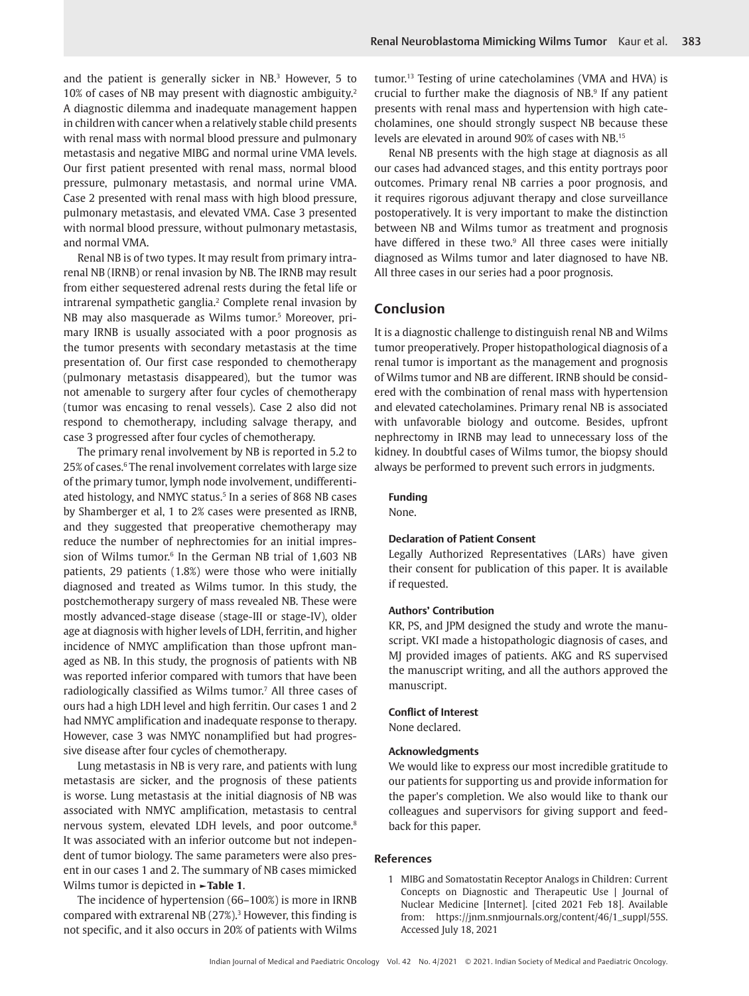and the patient is generally sicker in  $NB^3$  However, 5 to 10% of cases of NB may present with diagnostic ambiguity.2 A diagnostic dilemma and inadequate management happen in children with cancer when a relatively stable child presents with renal mass with normal blood pressure and pulmonary metastasis and negative MIBG and normal urine VMA levels. Our first patient presented with renal mass, normal blood pressure, pulmonary metastasis, and normal urine VMA. Case 2 presented with renal mass with high blood pressure, pulmonary metastasis, and elevated VMA. Case 3 presented with normal blood pressure, without pulmonary metastasis, and normal VMA.

Renal NB is of two types. It may result from primary intrarenal NB (IRNB) or renal invasion by NB. The IRNB may result from either sequestered adrenal rests during the fetal life or intrarenal sympathetic ganglia.2 Complete renal invasion by NB may also masquerade as Wilms tumor.<sup>5</sup> Moreover, primary IRNB is usually associated with a poor prognosis as the tumor presents with secondary metastasis at the time presentation of. Our first case responded to chemotherapy (pulmonary metastasis disappeared), but the tumor was not amenable to surgery after four cycles of chemotherapy (tumor was encasing to renal vessels). Case 2 also did not respond to chemotherapy, including salvage therapy, and case 3 progressed after four cycles of chemotherapy.

The primary renal involvement by NB is reported in 5.2 to 25% of cases.<sup>6</sup> The renal involvement correlates with large size of the primary tumor, lymph node involvement, undifferentiated histology, and NMYC status.<sup>5</sup> In a series of 868 NB cases by Shamberger et al, 1 to 2% cases were presented as IRNB, and they suggested that preoperative chemotherapy may reduce the number of nephrectomies for an initial impression of Wilms tumor.<sup>6</sup> In the German NB trial of 1,603 NB patients, 29 patients (1.8%) were those who were initially diagnosed and treated as Wilms tumor. In this study, the postchemotherapy surgery of mass revealed NB. These were mostly advanced-stage disease (stage-III or stage-IV), older age at diagnosis with higher levels of LDH, ferritin, and higher incidence of NMYC amplification than those upfront managed as NB. In this study, the prognosis of patients with NB was reported inferior compared with tumors that have been radiologically classified as Wilms tumor.7 All three cases of ours had a high LDH level and high ferritin. Our cases 1 and 2 had NMYC amplification and inadequate response to therapy. However, case 3 was NMYC nonamplified but had progressive disease after four cycles of chemotherapy.

Lung metastasis in NB is very rare, and patients with lung metastasis are sicker, and the prognosis of these patients is worse. Lung metastasis at the initial diagnosis of NB was associated with NMYC amplification, metastasis to central nervous system, elevated LDH levels, and poor outcome.<sup>8</sup> It was associated with an inferior outcome but not independent of tumor biology. The same parameters were also present in our cases 1 and 2. The summary of NB cases mimicked Wilms tumor is depicted in **►Table 1**.

The incidence of hypertension (66–100%) is more in IRNB compared with extrarenal NB  $(27%)$ .<sup>3</sup> However, this finding is not specific, and it also occurs in 20% of patients with Wilms

tumor.13 Testing of urine catecholamines (VMA and HVA) is crucial to further make the diagnosis of  $NB$ <sup>9</sup> If any patient presents with renal mass and hypertension with high catecholamines, one should strongly suspect NB because these levels are elevated in around 90% of cases with NB.15

Renal NB presents with the high stage at diagnosis as all our cases had advanced stages, and this entity portrays poor outcomes. Primary renal NB carries a poor prognosis, and it requires rigorous adjuvant therapy and close surveillance postoperatively. It is very important to make the distinction between NB and Wilms tumor as treatment and prognosis have differed in these two.<sup>9</sup> All three cases were initially diagnosed as Wilms tumor and later diagnosed to have NB. All three cases in our series had a poor prognosis.

# **Conclusion**

It is a diagnostic challenge to distinguish renal NB and Wilms tumor preoperatively. Proper histopathological diagnosis of a renal tumor is important as the management and prognosis of Wilms tumor and NB are different. IRNB should be considered with the combination of renal mass with hypertension and elevated catecholamines. Primary renal NB is associated with unfavorable biology and outcome. Besides, upfront nephrectomy in IRNB may lead to unnecessary loss of the kidney. In doubtful cases of Wilms tumor, the biopsy should always be performed to prevent such errors in judgments.

## **Funding**

None.

## **Declaration of Patient Consent**

Legally Authorized Representatives (LARs) have given their consent for publication of this paper. It is available if requested.

## **Authors' Contribution**

KR, PS, and JPM designed the study and wrote the manuscript. VKI made a histopathologic diagnosis of cases, and MJ provided images of patients. AKG and RS supervised the manuscript writing, and all the authors approved the manuscript.

### **Conflict of Interest**

None declared.

## **Acknowledgments**

We would like to express our most incredible gratitude to our patients for supporting us and provide information for the paper's completion. We also would like to thank our colleagues and supervisors for giving support and feedback for this paper.

## **References**

1 MIBG and Somatostatin Receptor Analogs in Children: Current Concepts on Diagnostic and Therapeutic Use | Journal of Nuclear Medicine [Internet]. [cited 2021 Feb 18]. Available from: https://jnm.snmjournals.org/content/46/1\_suppl/55S. Accessed July 18, 2021